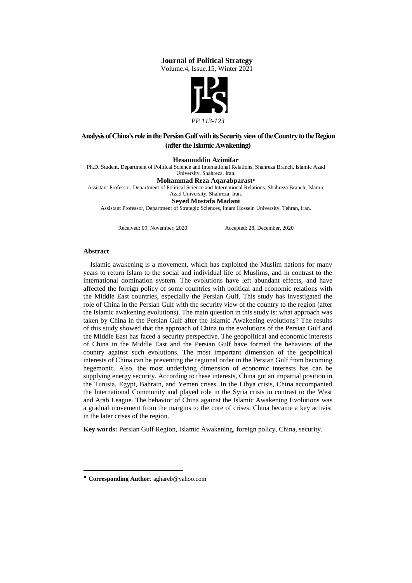### **Journal of Political Strategy**

Volume.4, Issue.15, Winter 2021



# **Analysis of China's role in the Persian Gulf with its Security view of the Country to the Region (after the Islamic Awakening)**

#### **Hesamuddin Azimifar**

Ph.D. Student, Department of Political Science and International Relations, Shahreza Branch, Islamic Azad

# University, Shahreza, Iran.

**Mohammad Reza Aqarabparast** Assistant Professor, Department of Political Science and International Relations, Shahreza Branch, Islamic

Azad University, Shahreza, Iran.

**Seyed Mostafa Madani** 

Assistant Professor, Department of Strategic Sciences, Imam Hossein University, Tehran, Iran.

Received: 09, November, 2020 Accepted: 28, December, 2020

#### **Abstract**

 $\overline{\phantom{a}}$ 

 Islamic awakening is a movement, which has exploited the Muslim nations for many years to return Islam to the social and individual life of Muslims, and in contrast to the international domination system. The evolutions have left abundant effects, and have affected the foreign policy of some countries with political and economic relations with the Middle East countries, especially the Persian Gulf. This study has investigated the role of China in the Persian Gulf with the security view of the country to the region (after the Islamic awakening evolutions). The main question in this study is: what approach was taken by China in the Persian Gulf after the Islamic Awakening evolutions? The results of this study showed that the approach of China to the evolutions of the Persian Gulf and the Middle East has faced a security perspective. The geopolitical and economic interests of China in the Middle East and the Persian Gulf have formed the behaviors of the country against such evolutions. The most important dimension of the geopolitical interests of China can be preventing the regional order in the Persian Gulf from becoming hegemonic. Also, the most underlying dimension of economic interests has can be supplying energy security. According to these interests, China got an impartial position in the Tunisia, Egypt, Bahrain, and Yemen crises. In the Libya crisis, China accompanied the International Community and played role in the Syria crisis in contrast to the West and Arab League. The behavior of China against the Islamic Awakening Evolutions was a gradual movement from the margins to the core of crises. China became a key activist in the later crises of the region.

**Key words:** Persian Gulf Region, Islamic Awakening, foreign policy, China, security.

**Corresponding Author**: aghareb@yahoo.com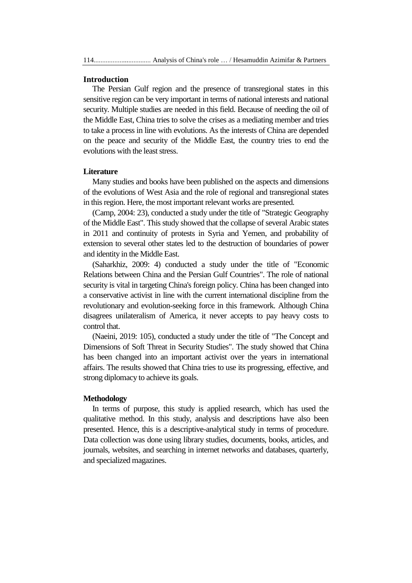### **Introduction**

 The Persian Gulf region and the presence of transregional states in this sensitive region can be very important in terms of national interests and national security. Multiple studies are needed in this field. Because of needing the oil of the Middle East, China tries to solve the crises as a mediating member and tries to take a process in line with evolutions. As the interests of China are depended on the peace and security of the Middle East, the country tries to end the evolutions with the least stress.

### **Literature**

 Many studies and books have been published on the aspects and dimensions of the evolutions of West Asia and the role of regional and transregional states in this region. Here, the most important relevant works are presented.

 (Camp, 2004: 23), conducted a study under the title of "Strategic Geography of the Middle East". This study showed that the collapse of several Arabic states in 2011 and continuity of protests in Syria and Yemen, and probability of extension to several other states led to the destruction of boundaries of power and identity in the Middle East.

 (Saharkhiz, 2009: 4) conducted a study under the title of "Economic Relations between China and the Persian Gulf Countries". The role of national security is vital in targeting China's foreign policy. China has been changed into a conservative activist in line with the current international discipline from the revolutionary and evolution-seeking force in this framework. Although China disagrees unilateralism of America, it never accepts to pay heavy costs to control that.

 (Naeini, 2019: 105), conducted a study under the title of "The Concept and Dimensions of Soft Threat in Security Studies". The study showed that China has been changed into an important activist over the years in international affairs. The results showed that China tries to use its progressing, effective, and strong diplomacy to achieve its goals.

### **Methodology**

 In terms of purpose, this study is applied research, which has used the qualitative method. In this study, analysis and descriptions have also been presented. Hence, this is a descriptive-analytical study in terms of procedure. Data collection was done using library studies, documents, books, articles, and journals, websites, and searching in internet networks and databases, quarterly, and specialized magazines.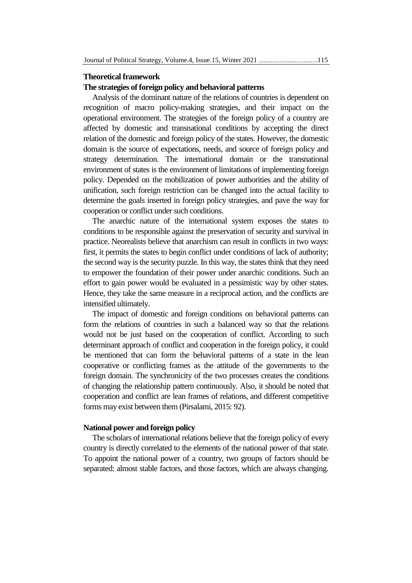### **Theoretical framework**

## **The strategies of foreign policy and behavioral patterns**

 Analysis of the dominant nature of the relations of countries is dependent on recognition of macro policy-making strategies, and their impact on the operational environment. The strategies of the foreign policy of a country are affected by domestic and transnational conditions by accepting the direct relation of the domestic and foreign policy of the states. However, the domestic domain is the source of expectations, needs, and source of foreign policy and strategy determination. The international domain or the transnational environment of states is the environment of limitations of implementing foreign policy. Depended on the mobilization of power authorities and the ability of unification, such foreign restriction can be changed into the actual facility to determine the goals inserted in foreign policy strategies, and pave the way for cooperation or conflict under such conditions.

 The anarchic nature of the international system exposes the states to conditions to be responsible against the preservation of security and survival in practice. Neorealists believe that anarchism can result in conflicts in two ways: first, it permits the states to begin conflict under conditions of lack of authority; the second way is the security puzzle. In this way, the states think that they need to empower the foundation of their power under anarchic conditions. Such an effort to gain power would be evaluated in a pessimistic way by other states. Hence, they take the same measure in a reciprocal action, and the conflicts are intensified ultimately.

 The impact of domestic and foreign conditions on behavioral patterns can form the relations of countries in such a balanced way so that the relations would not be just based on the cooperation of conflict. According to such determinant approach of conflict and cooperation in the foreign policy, it could be mentioned that can form the behavioral patterns of a state in the lean cooperative or conflicting frames as the attitude of the governments to the foreign domain. The synchronicity of the two processes creates the conditions of changing the relationship pattern continuously. Also, it should be noted that cooperation and conflict are lean frames of relations, and different competitive forms may exist between them (Pirsalami, 2015: 92).

### **National power and foreign policy**

 The scholars of international relations believe that the foreign policy of every country is directly correlated to the elements of the national power of that state. To appoint the national power of a country, two groups of factors should be separated: almost stable factors, and those factors, which are always changing.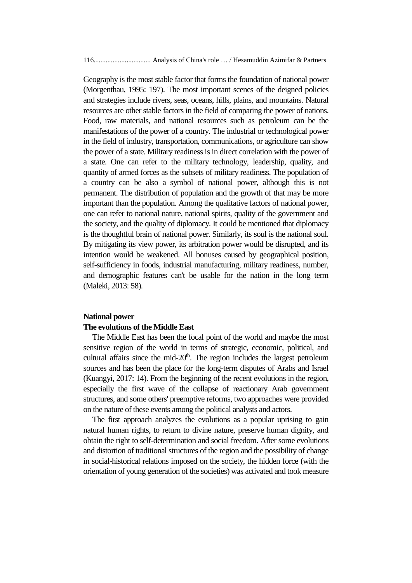Geography is the most stable factor that forms the foundation of national power (Morgenthau, 1995: 197). The most important scenes of the deigned policies and strategies include rivers, seas, oceans, hills, plains, and mountains. Natural resources are other stable factors in the field of comparing the power of nations. Food, raw materials, and national resources such as petroleum can be the manifestations of the power of a country. The industrial or technological power in the field of industry, transportation, communications, or agriculture can show the power of a state. Military readiness is in direct correlation with the power of a state. One can refer to the military technology, leadership, quality, and quantity of armed forces as the subsets of military readiness. The population of a country can be also a symbol of national power, although this is not permanent. The distribution of population and the growth of that may be more important than the population. Among the qualitative factors of national power, one can refer to national nature, national spirits, quality of the government and the society, and the quality of diplomacy. It could be mentioned that diplomacy is the thoughtful brain of national power. Similarly, its soul is the national soul. By mitigating its view power, its arbitration power would be disrupted, and its intention would be weakened. All bonuses caused by geographical position, self-sufficiency in foods, industrial manufacturing, military readiness, number, and demographic features can't be usable for the nation in the long term (Maleki, 2013: 58).

### **National power**

### **The evolutions of the Middle East**

 The Middle East has been the focal point of the world and maybe the most sensitive region of the world in terms of strategic, economic, political, and cultural affairs since the mid- $20<sup>th</sup>$ . The region includes the largest petroleum sources and has been the place for the long-term disputes of Arabs and Israel (Kuangyi, 2017: 14). From the beginning of the recent evolutions in the region, especially the first wave of the collapse of reactionary Arab government structures, and some others' preemptive reforms, two approaches were provided on the nature of these events among the political analysts and actors.

 The first approach analyzes the evolutions as a popular uprising to gain natural human rights, to return to divine nature, preserve human dignity, and obtain the right to self-determination and social freedom. After some evolutions and distortion of traditional structures of the region and the possibility of change in social-historical relations imposed on the society, the hidden force (with the orientation of young generation of the societies) was activated and took measure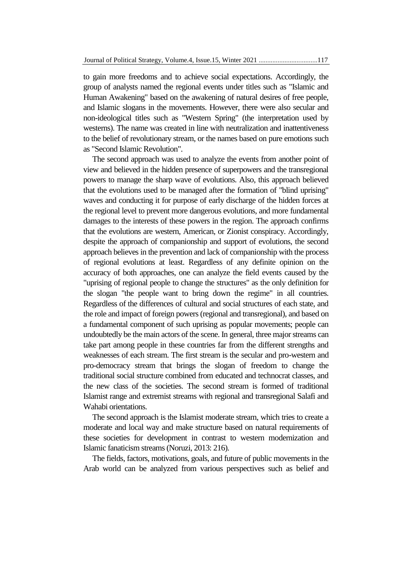to gain more freedoms and to achieve social expectations. Accordingly, the group of analysts named the regional events under titles such as "Islamic and Human Awakening" based on the awakening of natural desires of free people, and Islamic slogans in the movements. However, there were also secular and non-ideological titles such as "Western Spring" (the interpretation used by westerns). The name was created in line with neutralization and inattentiveness to the belief of revolutionary stream, or the names based on pure emotions such as "Second Islamic Revolution".

 The second approach was used to analyze the events from another point of view and believed in the hidden presence of superpowers and the transregional powers to manage the sharp wave of evolutions. Also, this approach believed that the evolutions used to be managed after the formation of "blind uprising" waves and conducting it for purpose of early discharge of the hidden forces at the regional level to prevent more dangerous evolutions, and more fundamental damages to the interests of these powers in the region. The approach confirms that the evolutions are western, American, or Zionist conspiracy. Accordingly, despite the approach of companionship and support of evolutions, the second approach believes in the prevention and lack of companionship with the process of regional evolutions at least. Regardless of any definite opinion on the accuracy of both approaches, one can analyze the field events caused by the "uprising of regional people to change the structures" as the only definition for the slogan "the people want to bring down the regime" in all countries. Regardless of the differences of cultural and social structures of each state, and the role and impact of foreign powers (regional and transregional), and based on a fundamental component of such uprising as popular movements; people can undoubtedly be the main actors of the scene. In general, three major streams can take part among people in these countries far from the different strengths and weaknesses of each stream. The first stream is the secular and pro-western and pro-democracy stream that brings the slogan of freedom to change the traditional social structure combined from educated and technocrat classes, and the new class of the societies. The second stream is formed of traditional Islamist range and extremist streams with regional and transregional Salafi and Wahabi orientations.

 The second approach is the Islamist moderate stream, which tries to create a moderate and local way and make structure based on natural requirements of these societies for development in contrast to western modernization and Islamic fanaticism streams (Noruzi, 2013: 216).

 The fields, factors, motivations, goals, and future of public movements in the Arab world can be analyzed from various perspectives such as belief and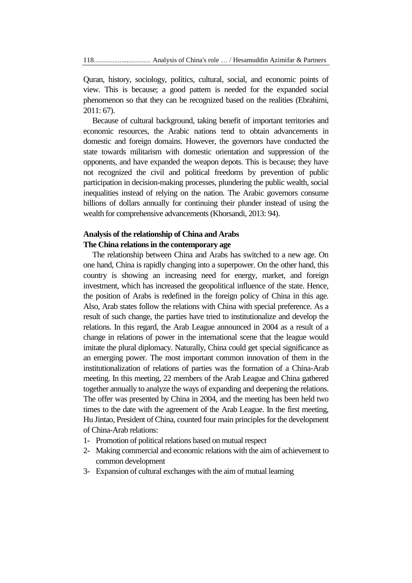Quran, history, sociology, politics, cultural, social, and economic points of view. This is because; a good pattern is needed for the expanded social phenomenon so that they can be recognized based on the realities (Ebrahimi, 2011: 67).

 Because of cultural background, taking benefit of important territories and economic resources, the Arabic nations tend to obtain advancements in domestic and foreign domains. However, the governors have conducted the state towards militarism with domestic orientation and suppression of the opponents, and have expanded the weapon depots. This is because; they have not recognized the civil and political freedoms by prevention of public participation in decision-making processes, plundering the public wealth, social inequalities instead of relying on the nation. The Arabic governors consume billions of dollars annually for continuing their plunder instead of using the wealth for comprehensive advancements (Khorsandi, 2013: 94).

# **Analysis of the relationship of China and Arabs The China relations in the contemporary age**

 The relationship between China and Arabs has switched to a new age. On one hand, China is rapidly changing into a superpower. On the other hand, this country is showing an increasing need for energy, market, and foreign investment, which has increased the geopolitical influence of the state. Hence, the position of Arabs is redefined in the foreign policy of China in this age. Also, Arab states follow the relations with China with special preference. As a result of such change, the parties have tried to institutionalize and develop the relations. In this regard, the Arab League announced in 2004 as a result of a change in relations of power in the international scene that the league would imitate the plural diplomacy. Naturally, China could get special significance as an emerging power. The most important common innovation of them in the institutionalization of relations of parties was the formation of a China-Arab meeting. In this meeting, 22 members of the Arab League and China gathered together annually to analyze the ways of expanding and deepening the relations. The offer was presented by China in 2004, and the meeting has been held two times to the date with the agreement of the Arab League. In the first meeting, Hu Jintao, President of China, counted four main principles for the development of China-Arab relations:

- 1- Promotion of political relations based on mutual respect
- 2- Making commercial and economic relations with the aim of achievement to common development
- 3- Expansion of cultural exchanges with the aim of mutual learning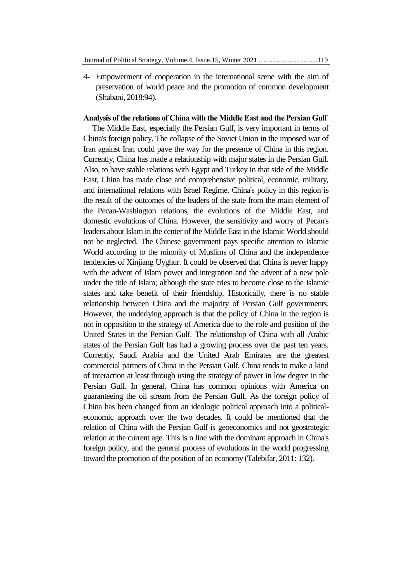4- Empowerment of cooperation in the international scene with the aim of preservation of world peace and the promotion of common development (Shabani, 2018:94).

### **Analysis of the relations of China with the Middle East and the Persian Gulf**

 The Middle East, especially the Persian Gulf, is very important in terms of China's foreign policy. The collapse of the Soviet Union in the imposed war of Iran against Iran could pave the way for the presence of China in this region. Currently, China has made a relationship with major states in the Persian Gulf. Also, to have stable relations with Egypt and Turkey in that side of the Middle East, China has made close and comprehensive political, economic, military, and international relations with Israel Regime. China's policy in this region is the result of the outcomes of the leaders of the state from the main element of the Pecan-Washington relations, the evolutions of the Middle East, and domestic evolutions of China. However, the sensitivity and worry of Pecan's leaders about Islam in the center of the Middle East in the Islamic World should not be neglected. The Chinese government pays specific attention to Islamic World according to the minority of Muslims of China and the independence tendencies of Xinjiang Uyghur. It could be observed that China is never happy with the advent of Islam power and integration and the advent of a new pole under the title of Islam; although the state tries to become close to the Islamic states and take benefit of their friendship. Historically, there is no stable relationship between China and the majority of Persian Gulf governments. However, the underlying approach is that the policy of China in the region is not in opposition to the strategy of America due to the role and position of the United States in the Persian Gulf. The relationship of China with all Arabic states of the Persian Gulf has had a growing process over the past ten years. Currently, Saudi Arabia and the United Arab Emirates are the greatest commercial partners of China in the Persian Gulf. China tends to make a kind of interaction at least through using the strategy of power in low degree in the Persian Gulf. In general, China has common opinions with America on guaranteeing the oil stream from the Persian Gulf. As the foreign policy of China has been changed from an ideologic political approach into a politicaleconomic approach over the two decades. It could be mentioned that the relation of China with the Persian Gulf is geoeconomics and not geostrategic relation at the current age. This is n line with the dominant approach in China's foreign policy, and the general process of evolutions in the world progressing toward the promotion of the position of an economy (Talebifar, 2011: 132).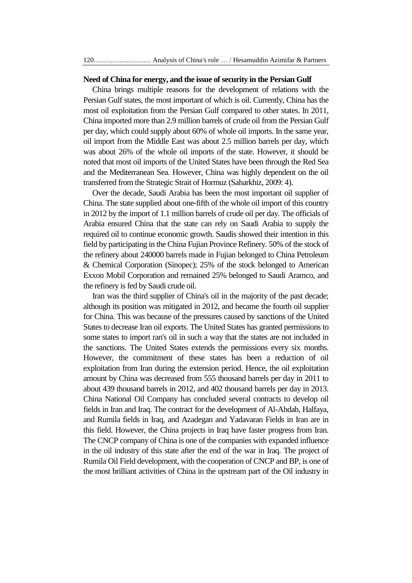## **Need of China for energy, and the issue of security in the Persian Gulf**

 China brings multiple reasons for the development of relations with the Persian Gulf states, the most important of which is oil. Currently, China has the most oil exploitation from the Persian Gulf compared to other states. In 2011, China imported more than 2.9 million barrels of crude oil from the Persian Gulf per day, which could supply about 60% of whole oil imports. In the same year, oil import from the Middle East was about 2.5 million barrels per day, which was about 26% of the whole oil imports of the state. However, it should be noted that most oil imports of the United States have been through the Red Sea and the Mediterranean Sea. However, China was highly dependent on the oil transferred from the Strategic Strait of Hormuz (Saharkhiz, 2009: 4).

 Over the decade, Saudi Arabia has been the most important oil supplier of China. The state supplied about one-fifth of the whole oil import of this country in 2012 by the import of 1.1 million barrels of crude oil per day. The officials of Arabia ensured China that the state can rely on Saudi Arabia to supply the required oil to continue economic growth. Saudis showed their intention in this field by participating in the China Fujian Province Refinery. 50% of the stock of the refinery about 240000 barrels made in Fujian belonged to China Petroleum & Chemical Corporation (Sinopec); 25% of the stock belonged to American Exxon Mobil Corporation and remained 25% belonged to Saudi Aramco, and the refinery is fed by Saudi crude oil.

 Iran was the third supplier of China's oil in the majority of the past decade; although its position was mitigated in 2012, and became the fourth oil supplier for China. This was because of the pressures caused by sanctions of the United States to decrease Iran oil exports. The United States has granted permissions to some states to import ran's oil in such a way that the states are not included in the sanctions. The United States extends the permissions every six months. However, the commitment of these states has been a reduction of oil exploitation from Iran during the extension period. Hence, the oil exploitation amount by China was decreased from 555 thousand barrels per day in 2011 to about 439 thousand barrels in 2012, and 402 thousand barrels per day in 2013. China National Oil Company has concluded several contracts to develop oil fields in Iran and Iraq. The contract for the development of Al-Ahdab, Halfaya, and Rumila fields in Iraq, and Azadegan and Yadavaran Fields in Iran are in this field. However, the China projects in Iraq have faster progress from Iran. The CNCP company of China is one of the companies with expanded influence in the oil industry of this state after the end of the war in Iraq. The project of Rumila Oil Field development, with the cooperation of CNCP and BP, is one of the most brilliant activities of China in the upstream part of the Oil industry in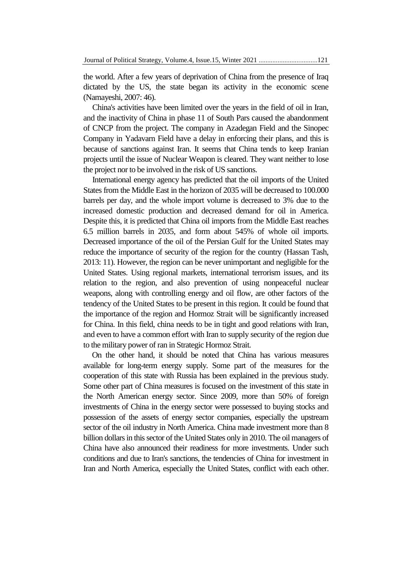the world. After a few years of deprivation of China from the presence of Iraq dictated by the US, the state began its activity in the economic scene (Namayeshi, 2007: 46).

 China's activities have been limited over the years in the field of oil in Iran, and the inactivity of China in phase 11 of South Pars caused the abandonment of CNCP from the project. The company in Azadegan Field and the Sinopec Company in Yadavarn Field have a delay in enforcing their plans, and this is because of sanctions against Iran. It seems that China tends to keep Iranian projects until the issue of Nuclear Weapon is cleared. They want neither to lose the project nor to be involved in the risk of US sanctions.

 International energy agency has predicted that the oil imports of the United States from the Middle East in the horizon of 2035 will be decreased to 100.000 barrels per day, and the whole import volume is decreased to 3% due to the increased domestic production and decreased demand for oil in America. Despite this, it is predicted that China oil imports from the Middle East reaches 6.5 million barrels in 2035, and form about 545% of whole oil imports. Decreased importance of the oil of the Persian Gulf for the United States may reduce the importance of security of the region for the country (Hassan Tash, 2013: 11). However, the region can be never unimportant and negligible for the United States. Using regional markets, international terrorism issues, and its relation to the region, and also prevention of using nonpeaceful nuclear weapons, along with controlling energy and oil flow, are other factors of the tendency of the United States to be present in this region. It could be found that the importance of the region and Hormoz Strait will be significantly increased for China. In this field, china needs to be in tight and good relations with Iran, and even to have a common effort with Iran to supply security of the region due to the military power of ran in Strategic Hormoz Strait.

 On the other hand, it should be noted that China has various measures available for long-term energy supply. Some part of the measures for the cooperation of this state with Russia has been explained in the previous study. Some other part of China measures is focused on the investment of this state in the North American energy sector. Since 2009, more than 50% of foreign investments of China in the energy sector were possessed to buying stocks and possession of the assets of energy sector companies, especially the upstream sector of the oil industry in North America. China made investment more than 8 billion dollars in this sector of the United States only in 2010. The oil managers of China have also announced their readiness for more investments. Under such conditions and due to Iran's sanctions, the tendencies of China for investment in Iran and North America, especially the United States, conflict with each other.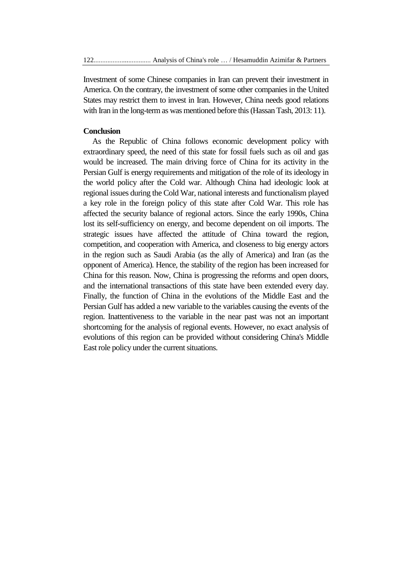Investment of some Chinese companies in Iran can prevent their investment in America. On the contrary, the investment of some other companies in the United States may restrict them to invest in Iran. However, China needs good relations with Iran in the long-term as was mentioned before this (Hassan Tash, 2013: 11).

### **Conclusion**

 As the Republic of China follows economic development policy with extraordinary speed, the need of this state for fossil fuels such as oil and gas would be increased. The main driving force of China for its activity in the Persian Gulf is energy requirements and mitigation of the role of its ideology in the world policy after the Cold war. Although China had ideologic look at regional issues during the Cold War, national interests and functionalism played a key role in the foreign policy of this state after Cold War. This role has affected the security balance of regional actors. Since the early 1990s, China lost its self-sufficiency on energy, and become dependent on oil imports. The strategic issues have affected the attitude of China toward the region, competition, and cooperation with America, and closeness to big energy actors in the region such as Saudi Arabia (as the ally of America) and Iran (as the opponent of America). Hence, the stability of the region has been increased for China for this reason. Now, China is progressing the reforms and open doors, and the international transactions of this state have been extended every day. Finally, the function of China in the evolutions of the Middle East and the Persian Gulf has added a new variable to the variables causing the events of the region. Inattentiveness to the variable in the near past was not an important shortcoming for the analysis of regional events. However, no exact analysis of evolutions of this region can be provided without considering China's Middle East role policy under the current situations.